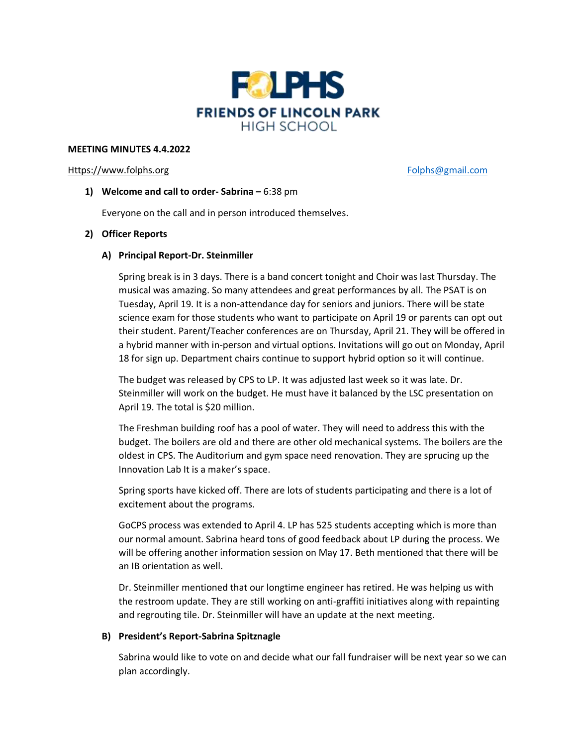

## **MEETING MINUTES 4.4.2022**

## [Https://www.folphs.org](https://www.folphs.org/) example and the state of the [Folphs@gmail.com](mailto:Folphs@gmail.com)

# **1) Welcome and call to order- Sabrina –** 6:38 pm

Everyone on the call and in person introduced themselves.

# **2) Officer Reports**

# **A) Principal Report-Dr. Steinmiller**

Spring break is in 3 days. There is a band concert tonight and Choir was last Thursday. The musical was amazing. So many attendees and great performances by all. The PSAT is on Tuesday, April 19. It is a non-attendance day for seniors and juniors. There will be state science exam for those students who want to participate on April 19 or parents can opt out their student. Parent/Teacher conferences are on Thursday, April 21. They will be offered in a hybrid manner with in-person and virtual options. Invitations will go out on Monday, April 18 for sign up. Department chairs continue to support hybrid option so it will continue.

The budget was released by CPS to LP. It was adjusted last week so it was late. Dr. Steinmiller will work on the budget. He must have it balanced by the LSC presentation on April 19. The total is \$20 million.

The Freshman building roof has a pool of water. They will need to address this with the budget. The boilers are old and there are other old mechanical systems. The boilers are the oldest in CPS. The Auditorium and gym space need renovation. They are sprucing up the Innovation Lab It is a maker's space.

Spring sports have kicked off. There are lots of students participating and there is a lot of excitement about the programs.

GoCPS process was extended to April 4. LP has 525 students accepting which is more than our normal amount. Sabrina heard tons of good feedback about LP during the process. We will be offering another information session on May 17. Beth mentioned that there will be an IB orientation as well.

Dr. Steinmiller mentioned that our longtime engineer has retired. He was helping us with the restroom update. They are still working on anti-graffiti initiatives along with repainting and regrouting tile. Dr. Steinmiller will have an update at the next meeting.

# **B) President's Report-Sabrina Spitznagle**

Sabrina would like to vote on and decide what our fall fundraiser will be next year so we can plan accordingly.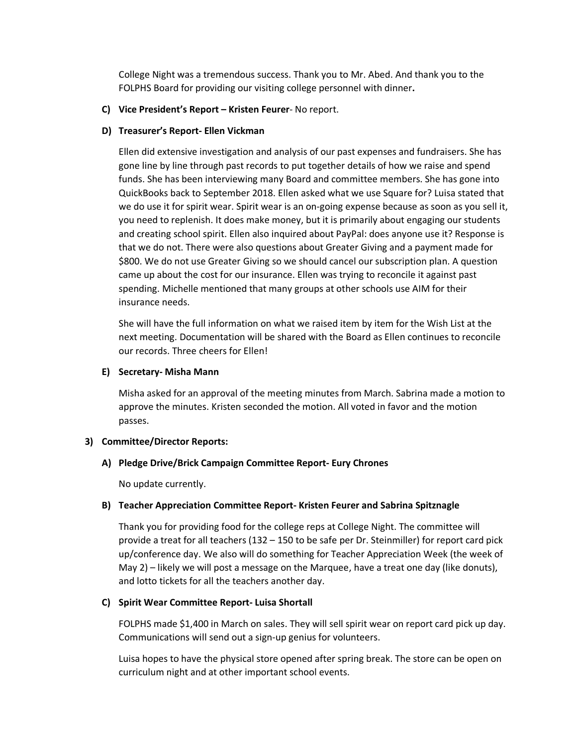College Night was a tremendous success. Thank you to Mr. Abed. And thank you to the FOLPHS Board for providing our visiting college personnel with dinner**.**

## **C) Vice President's Report – Kristen Feurer**- No report.

## **D) Treasurer's Report- Ellen Vickman**

Ellen did extensive investigation and analysis of our past expenses and fundraisers. She has gone line by line through past records to put together details of how we raise and spend funds. She has been interviewing many Board and committee members. She has gone into QuickBooks back to September 2018. Ellen asked what we use Square for? Luisa stated that we do use it for spirit wear. Spirit wear is an on-going expense because as soon as you sell it, you need to replenish. It does make money, but it is primarily about engaging our students and creating school spirit. Ellen also inquired about PayPal: does anyone use it? Response is that we do not. There were also questions about Greater Giving and a payment made for \$800. We do not use Greater Giving so we should cancel our subscription plan. A question came up about the cost for our insurance. Ellen was trying to reconcile it against past spending. Michelle mentioned that many groups at other schools use AIM for their insurance needs.

She will have the full information on what we raised item by item for the Wish List at the next meeting. Documentation will be shared with the Board as Ellen continues to reconcile our records. Three cheers for Ellen!

## **E) Secretary- Misha Mann**

Misha asked for an approval of the meeting minutes from March. Sabrina made a motion to approve the minutes. Kristen seconded the motion. All voted in favor and the motion passes.

#### **3) Committee/Director Reports:**

# **A) Pledge Drive/Brick Campaign Committee Report- Eury Chrones**

No update currently.

# **B) Teacher Appreciation Committee Report- Kristen Feurer and Sabrina Spitznagle**

Thank you for providing food for the college reps at College Night. The committee will provide a treat for all teachers (132 – 150 to be safe per Dr. Steinmiller) for report card pick up/conference day. We also will do something for Teacher Appreciation Week (the week of May 2) – likely we will post a message on the Marquee, have a treat one day (like donuts), and lotto tickets for all the teachers another day.

# **C) Spirit Wear Committee Report- Luisa Shortall**

FOLPHS made \$1,400 in March on sales. They will sell spirit wear on report card pick up day. Communications will send out a sign-up genius for volunteers.

Luisa hopes to have the physical store opened after spring break. The store can be open on curriculum night and at other important school events.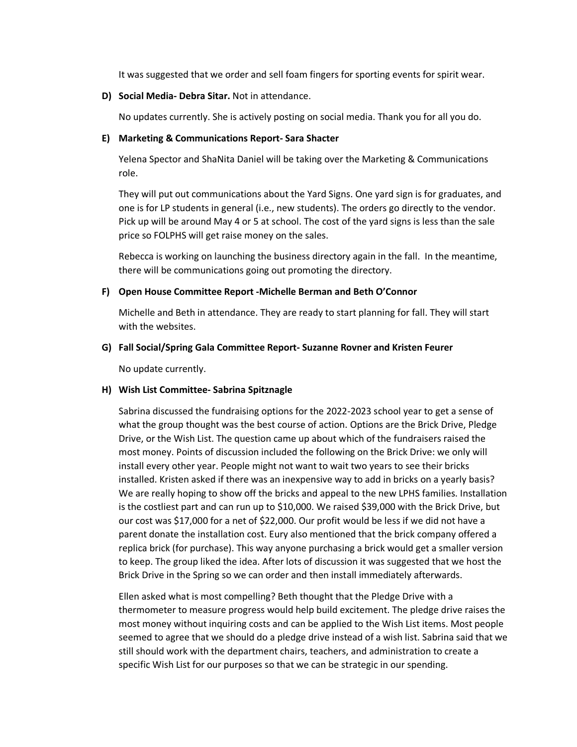It was suggested that we order and sell foam fingers for sporting events for spirit wear.

**D) Social Media- Debra Sitar.** Not in attendance.

No updates currently. She is actively posting on social media. Thank you for all you do.

## **E) Marketing & Communications Report- Sara Shacter**

Yelena Spector and ShaNita Daniel will be taking over the Marketing & Communications role.

They will put out communications about the Yard Signs. One yard sign is for graduates, and one is for LP students in general (i.e., new students). The orders go directly to the vendor. Pick up will be around May 4 or 5 at school. The cost of the yard signs is less than the sale price so FOLPHS will get raise money on the sales.

Rebecca is working on launching the business directory again in the fall. In the meantime, there will be communications going out promoting the directory.

# **F) Open House Committee Report -Michelle Berman and Beth O'Connor**

Michelle and Beth in attendance. They are ready to start planning for fall. They will start with the websites.

## **G) Fall Social/Spring Gala Committee Report- Suzanne Rovner and Kristen Feurer**

No update currently.

# **H) Wish List Committee- Sabrina Spitznagle**

Sabrina discussed the fundraising options for the 2022-2023 school year to get a sense of what the group thought was the best course of action. Options are the Brick Drive, Pledge Drive, or the Wish List. The question came up about which of the fundraisers raised the most money. Points of discussion included the following on the Brick Drive: we only will install every other year. People might not want to wait two years to see their bricks installed. Kristen asked if there was an inexpensive way to add in bricks on a yearly basis? We are really hoping to show off the bricks and appeal to the new LPHS families. Installation is the costliest part and can run up to \$10,000. We raised \$39,000 with the Brick Drive, but our cost was \$17,000 for a net of \$22,000. Our profit would be less if we did not have a parent donate the installation cost. Eury also mentioned that the brick company offered a replica brick (for purchase). This way anyone purchasing a brick would get a smaller version to keep. The group liked the idea. After lots of discussion it was suggested that we host the Brick Drive in the Spring so we can order and then install immediately afterwards.

Ellen asked what is most compelling? Beth thought that the Pledge Drive with a thermometer to measure progress would help build excitement. The pledge drive raises the most money without inquiring costs and can be applied to the Wish List items. Most people seemed to agree that we should do a pledge drive instead of a wish list. Sabrina said that we still should work with the department chairs, teachers, and administration to create a specific Wish List for our purposes so that we can be strategic in our spending.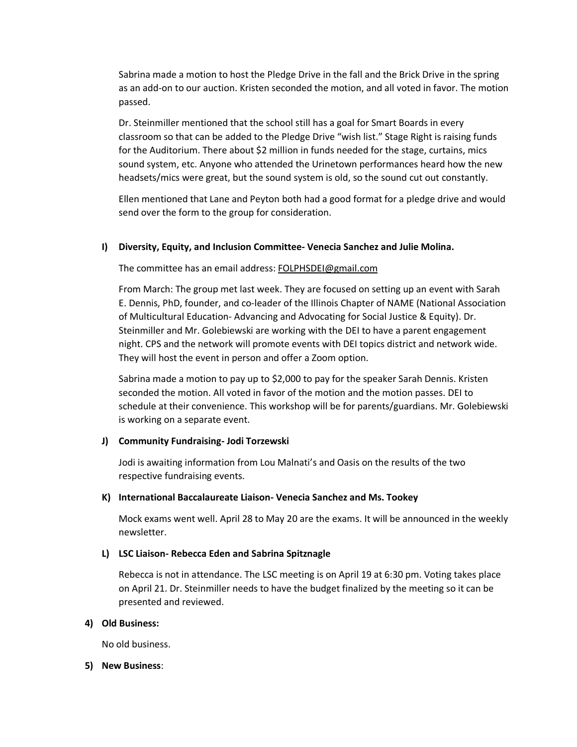Sabrina made a motion to host the Pledge Drive in the fall and the Brick Drive in the spring as an add-on to our auction. Kristen seconded the motion, and all voted in favor. The motion passed.

Dr. Steinmiller mentioned that the school still has a goal for Smart Boards in every classroom so that can be added to the Pledge Drive "wish list." Stage Right is raising funds for the Auditorium. There about \$2 million in funds needed for the stage, curtains, mics sound system, etc. Anyone who attended the Urinetown performances heard how the new headsets/mics were great, but the sound system is old, so the sound cut out constantly.

Ellen mentioned that Lane and Peyton both had a good format for a pledge drive and would send over the form to the group for consideration.

# **I) Diversity, Equity, and Inclusion Committee- Venecia Sanchez and Julie Molina.**

The committee has an email address: [FOLPHSDEI@gmail.com](mailto:FOLPHSDEI@gmail.com)

From March: The group met last week. They are focused on setting up an event with Sarah E. Dennis, PhD, founder, and co-leader of the Illinois Chapter of NAME (National Association of Multicultural Education- Advancing and Advocating for Social Justice & Equity). Dr. Steinmiller and Mr. Golebiewski are working with the DEI to have a parent engagement night. CPS and the network will promote events with DEI topics district and network wide. They will host the event in person and offer a Zoom option.

Sabrina made a motion to pay up to \$2,000 to pay for the speaker Sarah Dennis. Kristen seconded the motion. All voted in favor of the motion and the motion passes. DEI to schedule at their convenience. This workshop will be for parents/guardians. Mr. Golebiewski is working on a separate event.

# **J) Community Fundraising- Jodi Torzewski**

Jodi is awaiting information from Lou Malnati's and Oasis on the results of the two respective fundraising events.

# **K) International Baccalaureate Liaison- Venecia Sanchez and Ms. Tookey**

Mock exams went well. April 28 to May 20 are the exams. It will be announced in the weekly newsletter.

#### **L) LSC Liaison- Rebecca Eden and Sabrina Spitznagle**

Rebecca is not in attendance. The LSC meeting is on April 19 at 6:30 pm. Voting takes place on April 21. Dr. Steinmiller needs to have the budget finalized by the meeting so it can be presented and reviewed.

#### **4) Old Business:**

No old business.

#### **5) New Business**: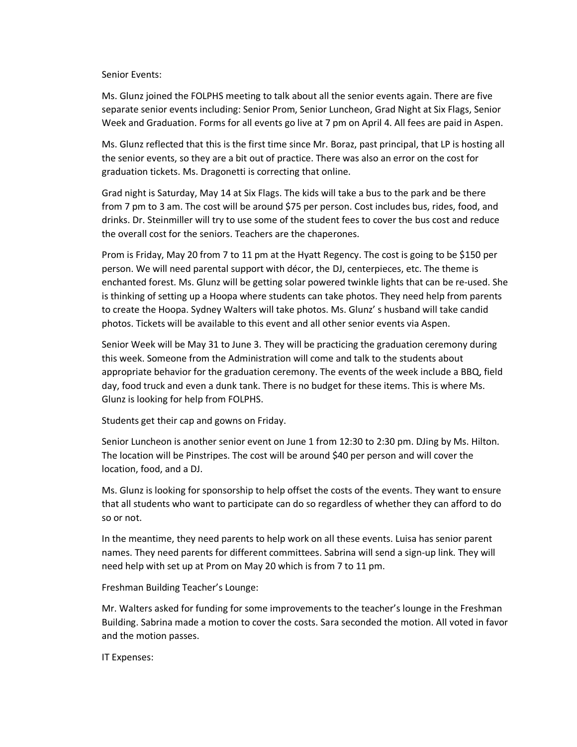#### Senior Events:

Ms. Glunz joined the FOLPHS meeting to talk about all the senior events again. There are five separate senior events including: Senior Prom, Senior Luncheon, Grad Night at Six Flags, Senior Week and Graduation. Forms for all events go live at 7 pm on April 4. All fees are paid in Aspen.

Ms. Glunz reflected that this is the first time since Mr. Boraz, past principal, that LP is hosting all the senior events, so they are a bit out of practice. There was also an error on the cost for graduation tickets. Ms. Dragonetti is correcting that online.

Grad night is Saturday, May 14 at Six Flags. The kids will take a bus to the park and be there from 7 pm to 3 am. The cost will be around \$75 per person. Cost includes bus, rides, food, and drinks. Dr. Steinmiller will try to use some of the student fees to cover the bus cost and reduce the overall cost for the seniors. Teachers are the chaperones.

Prom is Friday, May 20 from 7 to 11 pm at the Hyatt Regency. The cost is going to be \$150 per person. We will need parental support with décor, the DJ, centerpieces, etc. The theme is enchanted forest. Ms. Glunz will be getting solar powered twinkle lights that can be re-used. She is thinking of setting up a Hoopa where students can take photos. They need help from parents to create the Hoopa. Sydney Walters will take photos. Ms. Glunz' s husband will take candid photos. Tickets will be available to this event and all other senior events via Aspen.

Senior Week will be May 31 to June 3. They will be practicing the graduation ceremony during this week. Someone from the Administration will come and talk to the students about appropriate behavior for the graduation ceremony. The events of the week include a BBQ, field day, food truck and even a dunk tank. There is no budget for these items. This is where Ms. Glunz is looking for help from FOLPHS.

Students get their cap and gowns on Friday.

Senior Luncheon is another senior event on June 1 from 12:30 to 2:30 pm. DJing by Ms. Hilton. The location will be Pinstripes. The cost will be around \$40 per person and will cover the location, food, and a DJ.

Ms. Glunz is looking for sponsorship to help offset the costs of the events. They want to ensure that all students who want to participate can do so regardless of whether they can afford to do so or not.

In the meantime, they need parents to help work on all these events. Luisa has senior parent names. They need parents for different committees. Sabrina will send a sign-up link. They will need help with set up at Prom on May 20 which is from 7 to 11 pm.

Freshman Building Teacher's Lounge:

Mr. Walters asked for funding for some improvements to the teacher's lounge in the Freshman Building. Sabrina made a motion to cover the costs. Sara seconded the motion. All voted in favor and the motion passes.

IT Expenses: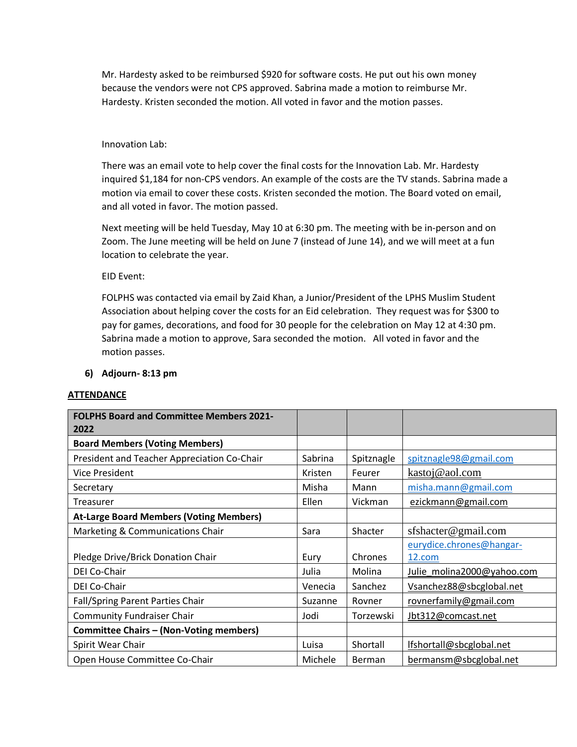Mr. Hardesty asked to be reimbursed \$920 for software costs. He put out his own money because the vendors were not CPS approved. Sabrina made a motion to reimburse Mr. Hardesty. Kristen seconded the motion. All voted in favor and the motion passes.

## Innovation Lab:

There was an email vote to help cover the final costs for the Innovation Lab. Mr. Hardesty inquired \$1,184 for non-CPS vendors. An example of the costs are the TV stands. Sabrina made a motion via email to cover these costs. Kristen seconded the motion. The Board voted on email, and all voted in favor. The motion passed.

Next meeting will be held Tuesday, May 10 at 6:30 pm. The meeting with be in-person and on Zoom. The June meeting will be held on June 7 (instead of June 14), and we will meet at a fun location to celebrate the year.

EID Event:

FOLPHS was contacted via email by Zaid Khan, a Junior/President of the LPHS Muslim Student Association about helping cover the costs for an Eid celebration. They request was for \$300 to pay for games, decorations, and food for 30 people for the celebration on May 12 at 4:30 pm. Sabrina made a motion to approve, Sara seconded the motion. All voted in favor and the motion passes.

## **6) Adjourn- 8:13 pm**

#### **ATTENDANCE**

| <b>FOLPHS Board and Committee Members 2021-</b><br>2022 |         |               |                                    |
|---------------------------------------------------------|---------|---------------|------------------------------------|
| <b>Board Members (Voting Members)</b>                   |         |               |                                    |
| President and Teacher Appreciation Co-Chair             | Sabrina | Spitznagle    | spitznagle98@gmail.com             |
| <b>Vice President</b>                                   | Kristen | Feurer        | kastoj@aol.com                     |
| Secretary                                               | Misha   | Mann          | misha.mann@gmail.com               |
| Treasurer                                               | Ellen   | Vickman       | ezickmann@gmail.com                |
| <b>At-Large Board Members (Voting Members)</b>          |         |               |                                    |
| Marketing & Communications Chair                        | Sara    | Shacter       | sfshacter@gmail.com                |
| Pledge Drive/Brick Donation Chair                       | Eury    | Chrones       | eurydice.chrones@hangar-<br>12.com |
| DEI Co-Chair                                            | Julia   | Molina        | Julie molina2000@yahoo.com         |
| DEI Co-Chair                                            | Venecia | Sanchez       | Vsanchez88@sbcglobal.net           |
| Fall/Spring Parent Parties Chair                        | Suzanne | Rovner        | rovnerfamily@gmail.com             |
| <b>Community Fundraiser Chair</b>                       | Jodi    | Torzewski     | Jbt312@comcast.net                 |
| <b>Committee Chairs - (Non-Voting members)</b>          |         |               |                                    |
| Spirit Wear Chair                                       | Luisa   | Shortall      | lfshortall@sbcglobal.net           |
| Open House Committee Co-Chair                           | Michele | <b>Berman</b> | bermansm@sbcglobal.net             |